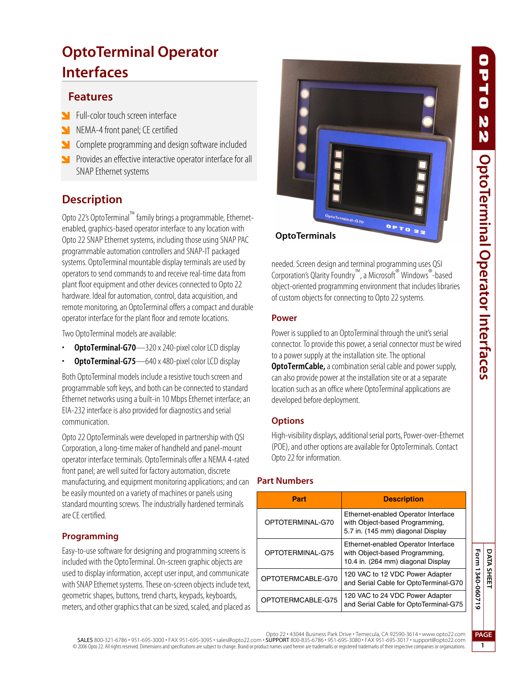# **PLE** N N **OptoTerminal Operator Interfaces DATA SHEET OptoTerminal Operator Interfaces**

# **OptoTerminal Operator Interfaces**

## **Features**

- **N** Full-color touch screen interface
- NEMA-4 front panel; CE certified
- Complete programming and design software included
- **Provides an effective interactive operator interface for all** SNAP Ethernet systems

## **Description**

Opto 22's OptoTerminal™ family brings a programmable, Ethernetenabled, graphics-based operator interface to any location with Opto 22 SNAP Ethernet systems, including those using SNAP PAC programmable automation controllers and SNAP-IT packaged systems. OptoTerminal mountable display terminals are used by operators to send commands to and receive real-time data from plant floor equipment and other devices connected to Opto 22 hardware. Ideal for automation, control, data acquisition, and remote monitoring, an OptoTerminal offers a compact and durable operator interface for the plant floor and remote locations.

Two OptoTerminal models are available:

- **OptoTerminal-G70**—320 x 240-pixel color LCD display
- **OptoTerminal-G75**—640 x 480-pixel color LCD display

Both OptoTerminal models include a resistive touch screen and programmable soft keys, and both can be connected to standard Ethernet networks using a built-in 10 Mbps Ethernet interface; an EIA-232 interface is also provided for diagnostics and serial communication.

Opto 22 OptoTerminals were developed in partnership with QSI Corporation, a long-time maker of handheld and panel-mount operator interface terminals. OptoTerminals offer a NEMA 4-rated front panel; are well suited for factory automation, discrete manufacturing, and equipment monitoring applications; and can be easily mounted on a variety of machines or panels using standard mounting screws. The industrially hardened terminals are CE certified.

## **Programming**

Easy-to-use software for designing and programming screens is included with the OptoTerminal. On-screen graphic objects are used to display information, accept user input, and communicate with SNAP Ethernet systems. These on-screen objects include text, geometric shapes, buttons, trend charts, keypads, keyboards, meters, and other graphics that can be sized, scaled, and placed as



**OptoTerminals**

needed. Screen design and terminal programming uses QSI Corporation's Qlarity Foundry™, a Microsoft® Windows®-based object-oriented programming environment that includes libraries of custom objects for connecting to Opto 22 systems.

#### **Power**

Power is supplied to an OptoTerminal through the unit's serial connector. To provide this power, a serial connector must be wired to a power supply at the installation site. The optional **OptoTermCable,** a combination serial cable and power supply, can also provide power at the installation site or at a separate location such as an office where OptoTerminal applications are developed before deployment.

## **Options**

High-visibility displays, additional serial ports, Power-over-Ethernet (POE), and other options are available for OptoTerminals. Contact Opto 22 for information.

## **Part Numbers**

| Part              | <b>Description</b>                                                                                          |
|-------------------|-------------------------------------------------------------------------------------------------------------|
| OPTOTERMINAL-G70  | Ethernet-enabled Operator Interface<br>with Object-based Programming,<br>5.7 in. (145 mm) diagonal Display  |
| OPTOTERMINAL-G75  | Ethernet-enabled Operator Interface<br>with Object-based Programming,<br>10.4 in. (264 mm) diagonal Display |
| OPTOTERMCABLE-G70 | 120 VAC to 12 VDC Power Adapter<br>and Serial Cable for OptoTerminal-G70                                    |
| OPTOTERMCABLE-G75 | 120 VAC to 24 VDC Power Adapter<br>and Serial Cable for OptoTerminal-G75                                    |

#### Opto 22 • 43044 Business Park Drive • Temecula, CA 92590-3614 • www.opto22.com

SALES 800-321-6786 • 951-695-3000 • FAX 951-695-3095 • sales@opto22.com • SUPPORT 800-835-6786 • 951-695-3080 • FAX 951-695-3017 • support@opto22.com © 2006 Opto 22. All rights reserved. Dimensions and specifications are subject to change. Brand or product names used herein are trademarks or registered trademarks of their respective companies or organizations.

Form 1340-060719 **Form 1340-060719**

> **PAGE 1**

**DATA SHEET**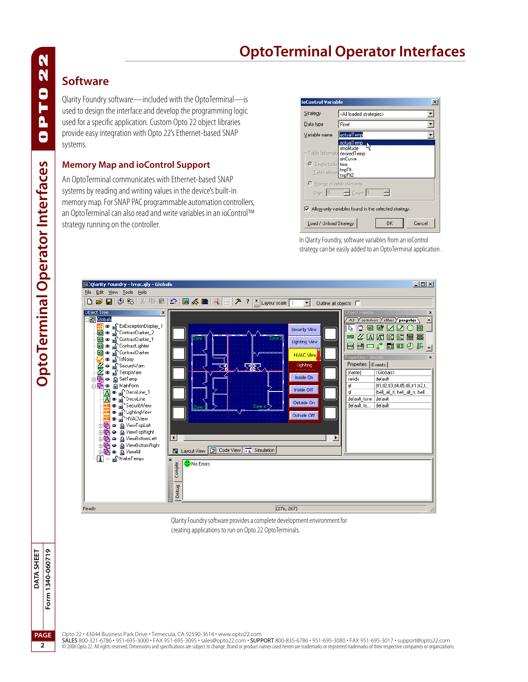# **OptoTerminal Operator Interfaces**

## **Software**

Qlarity Foundry software—included with the OptoTerminal—is used to design the interface and develop the programming logic used for a specific application. Custom Opto 22 object libraries provide easy integration with Opto 22's Ethernet-based SNAP systems.

#### **Memory Map and ioControl Support**

An OptoTerminal communicates with Ethernet-based SNAP systems by reading and writing values in the device's built-in memory map. For SNAP PAC programmable automation controllers, an OptoTerminal can also read and write variables in an ioControl™ strategy running on the controller.

| ioControl Variable<br>$\times$                                               |                                     |
|------------------------------------------------------------------------------|-------------------------------------|
| Strategy                                                                     | <all loaded="" strategies=""></all> |
| Data type                                                                    | Float                               |
| Variable name                                                                | actualTemp                          |
| Table Informatic desiredTemp<br>Single table time<br>Table eleme tmpFlt      | actualTemp<br>amplitude<br>sinCurve |
| C Range of table elements                                                    | Start 0 - Count 1<br>츾              |
| $\overline{\mathbf{v}}$ Allow only variables found in the selected strategy. |                                     |
| Cancel<br>Load / Unload Strategy<br>OK                                       |                                     |

In Qlarity Foundry, software variables from an ioControl strategy can be easily added to an OptoTerminal application .



Qlarity Foundry software provides a complete development environment for creating applications to run on Opto 22 OptoTerminals.



Opto 22 • 43044 Business Park Drive • Temecula, CA 92590-3614 • www.opto22.com<br>**SALES** 800-321-6786 • 951-695-3000 • FAX 951-695-3095 • sales@opto22.com • **SUPPORT** 800-835-6786 • 951-695-380 • FAX 951-695-3017 • support@o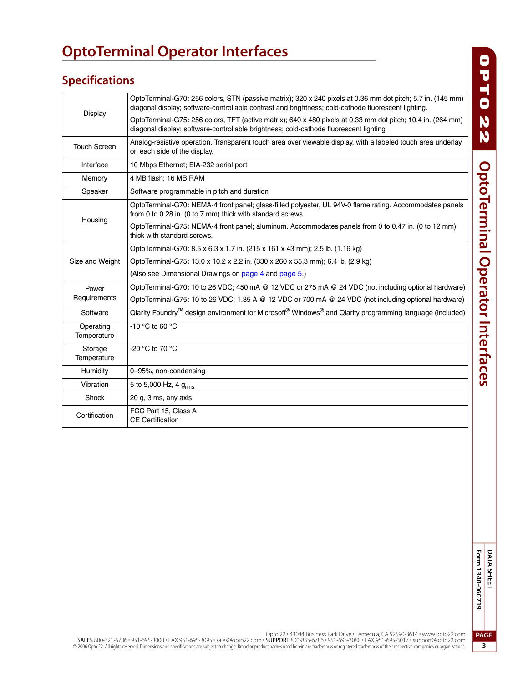# **OptoTerminal Operator Interfaces**

# **Specifications**

|                          | OptoTerminal-G70: 256 colors, STN (passive matrix); 320 x 240 pixels at 0.36 mm dot pitch; 5.7 in. (145 mm)<br>diagonal display; software-controllable contrast and brightness; cold-cathode fluorescent lighting. |
|--------------------------|--------------------------------------------------------------------------------------------------------------------------------------------------------------------------------------------------------------------|
| Display                  | OptoTerminal-G75: 256 colors, TFT (active matrix); 640 x 480 pixels at 0.33 mm dot pitch; 10.4 in. (264 mm)<br>diagonal display; software-controllable brightness; cold-cathode fluorescent lighting               |
| <b>Touch Screen</b>      | Analog-resistive operation. Transparent touch area over viewable display, with a labeled touch area underlay<br>on each side of the display.                                                                       |
| Interface                | 10 Mbps Ethernet; EIA-232 serial port                                                                                                                                                                              |
| Memory                   | 4 MB flash; 16 MB RAM                                                                                                                                                                                              |
| Speaker                  | Software programmable in pitch and duration                                                                                                                                                                        |
|                          | OptoTerminal-G70: NEMA-4 front panel; glass-filled polyester, UL 94V-0 flame rating. Accommodates panels<br>from 0 to 0.28 in. (0 to 7 mm) thick with standard screws.                                             |
| Housing                  | OptoTerminal-G75: NEMA-4 front panel; aluminum. Accommodates panels from 0 to 0.47 in. (0 to 12 mm)<br>thick with standard screws.                                                                                 |
|                          | OptoTerminal-G70: 8.5 x 6.3 x 1.7 in. (215 x 161 x 43 mm); 2.5 lb. (1.16 kg)                                                                                                                                       |
| Size and Weight          | OptoTerminal-G75: 13.0 x 10.2 x 2.2 in. (330 x 260 x 55.3 mm); 6.4 lb. (2.9 kg)                                                                                                                                    |
|                          | (Also see Dimensional Drawings on page 4 and page 5.)                                                                                                                                                              |
| Power                    | OptoTerminal-G70: 10 to 26 VDC; 450 mA @ 12 VDC or 275 mA @ 24 VDC (not including optional hardware)                                                                                                               |
| Requirements             | OptoTerminal-G75: 10 to 26 VDC; 1.35 A @ 12 VDC or 700 mA @ 24 VDC (not including optional hardware)                                                                                                               |
| Software                 | Qlarity Foundry <sup>™</sup> design environment for Microsoft <sup>®</sup> Windows <sup>®</sup> and Qlarity programming language (included)                                                                        |
| Operating<br>Temperature | -10 $\degree$ C to 60 $\degree$ C                                                                                                                                                                                  |
| Storage<br>Temperature   | -20 °C to 70 °C                                                                                                                                                                                                    |
| Humidity                 | 0-95%, non-condensing                                                                                                                                                                                              |
| Vibration                | 5 to 5,000 Hz, 4 g <sub>rms</sub>                                                                                                                                                                                  |
| Shock                    | 20 g, 3 ms, any axis                                                                                                                                                                                               |
| Certification            | FCC Part 15, Class A<br><b>CE Certification</b>                                                                                                                                                                    |

O PTO 22 OptoTerminal Operator Interfaces **OptoTerminal Operator Interfaces**

Opto 22 • 43044 Business Park Drive • Temecula, CA 92590-3614 • www.opto22.com

SALES 800-321-6786 • 951-695-3000 • FAX 951-695-3095 • sales@opto22.com • SUPPORT 800-835-6786 • 951-695-3080 • FAX 951-695-3017 • support@opto22.com<br>© 2006 Opto 22. All rights reserved. Dimensions and specifications are s

**PAGE 3**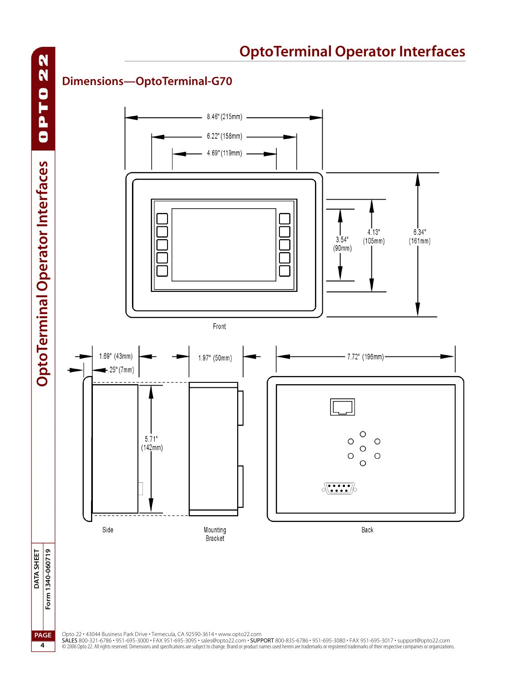<span id="page-3-0"></span>

Opto 22 • 43044 Business Park Drive • Temecula, CA 92590-3614 • www.opto22.com<br>**SALES** 800-321-6786 • 951-695-3000 • FAX 951-695-3095 • sales@opto22.com • **SUPPORT** 800-835-6786 • 951-695-380 • FAX 951-695-3017 • support@o

**4**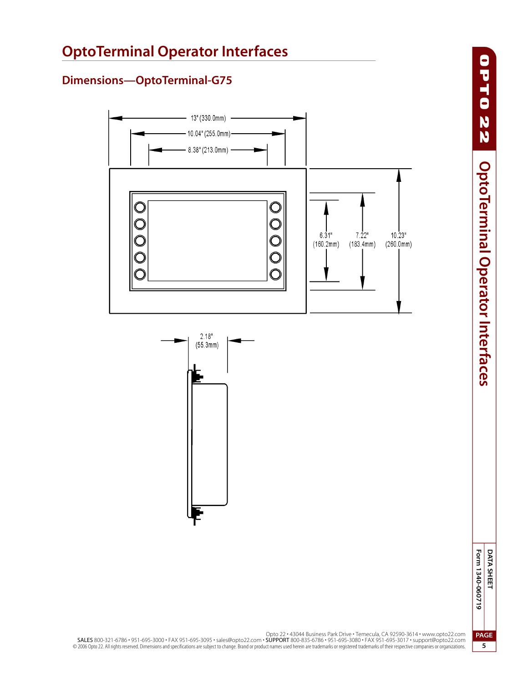<span id="page-4-0"></span>

Opto 22 • 43044 Business Park Drive • Temecula, CA 92590-3614 • www.opto22.com SALES 800-321-6786 • 951-695-3000 • FAX 951-695-3095 • sales@opto22.com • SUPPORT 800-835-6786 • 951-695-3080 • FAX 951-695-3017 • support@opto22.com<br>© 2006 Opto 22. All rights reserved. Dimensions and specifications are s

**PAGE**

**5**